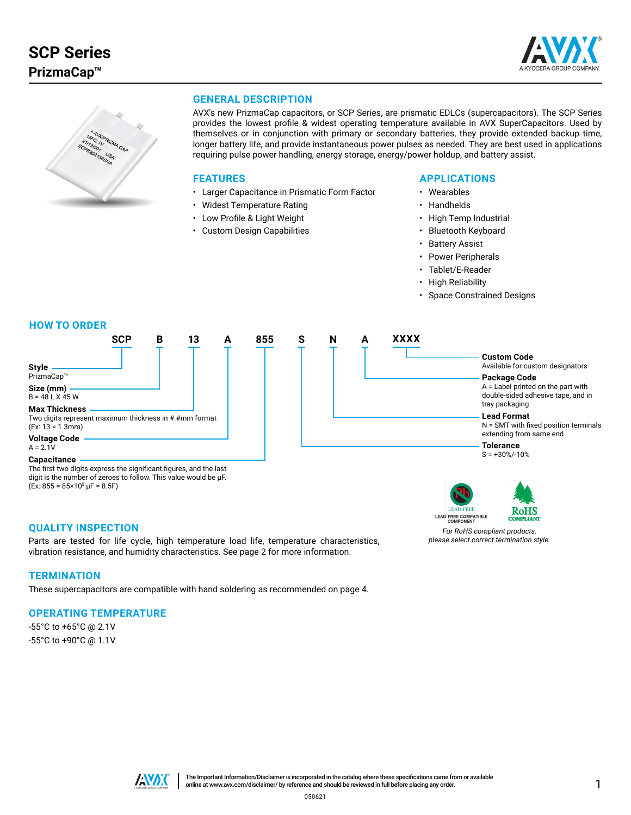



# **GENERAL DESCRIPTION**

AVX's new PrizmaCap capacitors, or SCP Series, are prismatic EDLCs (supercapacitors). The SCP Series provides the lowest profile & widest operating temperature available in AVX SuperCapacitors. Used by themselves or in conjunction with primary or secondary batteries, they provide extended backup time, longer battery life, and provide instantaneous power pulses as needed. They are best used in applications requiring pulse power handling, energy storage, energy/power holdup, and battery assist.

### **FEATURES**

- Larger Capacitance in Prismatic Form Factor
- Widest Temperature Rating
- Low Profile & Light Weight
- Custom Design Capabilities

### **APPLICATIONS**

- Wearables
- Handhelds
- High Temp Industrial
- Bluetooth Keyboard
- **Battery Assist**
- Power Peripherals
- Tablet/E-Reader
- High Reliability
- Space Constrained Designs

#### **HOW TO ORDER**



 $(Ex: 855 = 85 \times 10^5 \,\mu\text{F} = 8.5 \,\text{F})$ 

**LEAD-FREE** LEAD-FREE COMPATIBLE



*For RoHS compliant products, please select correct termination style.*

## **QUALITY INSPECTION**

Parts are tested for life cycle, high temperature load life, temperature characteristics, vibration resistance, and humidity characteristics. See page 2 for more information.

### **TERMINATION**

These supercapacitors are compatible with hand soldering as recommended on page 4.

### **OPERATING TEMPERATURE**

-55°C to +65°C @ 2.1V -55°C to +90°C @ 1.1V

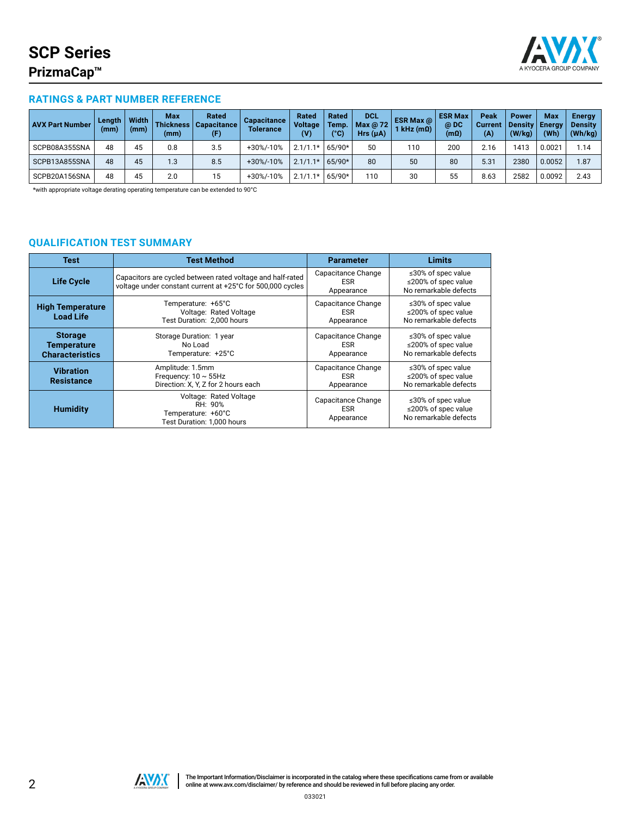

# **RATINGS & PART NUMBER REFERENCE**

| <b>AVX Part Number</b> | Length<br>(mm) | <b>Width</b><br>(mm) | Max<br><b>Thickness</b><br>(mm) | Rated<br>  Capacitance  <br>(F) | Capacitance<br><b>Tolerance</b> | Rated<br><b>Voltage</b><br>$(\mathsf{V})$ | <b>Rated</b><br>Temp.<br>(°C) | <b>DCL</b><br>Max @ $72$<br>$Hrs(\mu A)$ | <b>ESR Max @</b><br>1 kHz (mΩ) | <b>ESR Max</b><br>@DC<br>(mΩ) | Peak<br><b>Current</b><br>(A) | <b>Power</b><br><b>Density</b><br>(W/kg) | Max<br><b>Energy</b><br>(Wh) | Energy<br><b>Density</b><br>(Wh/kg) |
|------------------------|----------------|----------------------|---------------------------------|---------------------------------|---------------------------------|-------------------------------------------|-------------------------------|------------------------------------------|--------------------------------|-------------------------------|-------------------------------|------------------------------------------|------------------------------|-------------------------------------|
| SCPB08A355SNA          | 48             | 45                   | 0.8                             | 3.5                             | +30%/-10%                       | $2.1/1.1*$                                | 65/90*                        | 50                                       | 110                            | 200                           | 2.16                          | 1413                                     | 0.002 <sup>2</sup>           | 1.14                                |
| SCPB13A855SNA          | 48             | 45                   | $\overline{1.3}$                | 8.5                             | +30%/-10%                       | $2.1/1.1*$                                | $65/90*$                      | 80                                       | 50                             | 80                            | 5.31                          | 2380                                     | 0.0052                       | 1.87                                |
| SCPB20A156SNA          | 48             | 45                   | 2.0                             | 15                              | +30%/-10%                       | 2.1/1                                     | 65/90*                        | 110                                      | 30                             | 55                            | 8.63                          | 2582                                     | 0.0092                       | 2.43                                |

\*with appropriate voltage derating operating temperature can be extended to 90°C

# **QUALIFICATION TEST SUMMARY**

| <b>Test</b>                                                    | <b>Test Method</b>                                                                                                       | <b>Parameter</b>                               | <b>Limits</b>                                                            |  |
|----------------------------------------------------------------|--------------------------------------------------------------------------------------------------------------------------|------------------------------------------------|--------------------------------------------------------------------------|--|
| <b>Life Cycle</b>                                              | Capacitors are cycled between rated voltage and half-rated<br>voltage under constant current at +25°C for 500,000 cycles | Capacitance Change<br><b>ESR</b><br>Appearance | $\leq$ 30% of spec value<br>≤200% of spec value<br>No remarkable defects |  |
| <b>High Temperature</b><br><b>Load Life</b>                    | Temperature: +65°C<br>Voltage: Rated Voltage<br>Test Duration: 2,000 hours                                               | Capacitance Change<br><b>ESR</b><br>Appearance | ≤30% of spec value<br>≤200% of spec value<br>No remarkable defects       |  |
| <b>Storage</b><br><b>Temperature</b><br><b>Characteristics</b> | Storage Duration: 1 year<br>No Load<br>Temperature: +25°C                                                                | Capacitance Change<br><b>ESR</b><br>Appearance | ≤30% of spec value<br>≤200% of spec value<br>No remarkable defects       |  |
| <b>Vibration</b><br><b>Resistance</b>                          | Amplitude: 1.5mm<br>Frequency: $10 \sim 55$ Hz<br>Direction: X, Y, Z for 2 hours each                                    | Capacitance Change<br><b>ESR</b><br>Appearance | ≤30% of spec value<br>≤200% of spec value<br>No remarkable defects       |  |
| <b>Humidity</b>                                                | Voltage: Rated Voltage<br>RH: 90%<br>Temperature: +60°C<br>Test Duration: 1.000 hours                                    | Capacitance Change<br><b>ESR</b><br>Appearance | ≤30% of spec value<br>≤200% of spec value<br>No remarkable defects       |  |

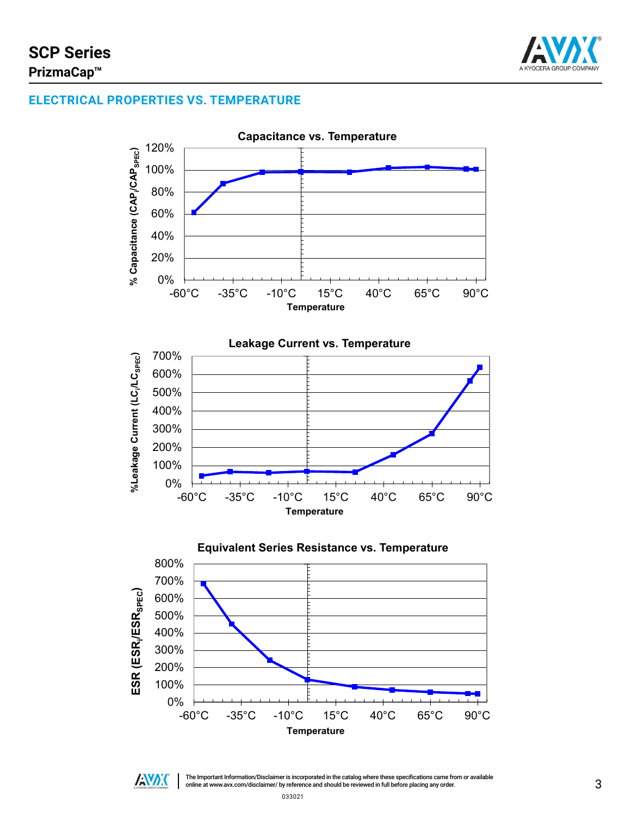

# **ELECTRICAL PROPERTIES VS. TEMPERATURE**





3 The Important Information/Disclaimer is incorporated in the catalog where these specifications came from or available online at [www.avx.com/disclaimer/](http://www.avx.com/resources/catalogs/datasheet-catalog-disclaimer/) by reference and should be reviewed in full before placing any order.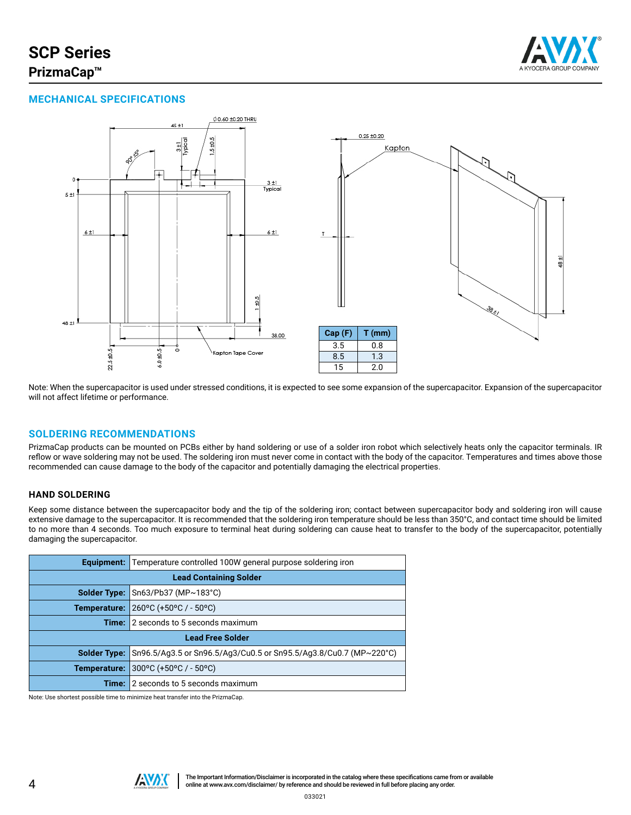# **SCP Series PrizmaCap™**



# **MECHANICAL SPECIFICATIONS**



Note: When the supercapacitor is used under stressed conditions, it is expected to see some expansion of the supercapacitor. Expansion of the supercapacitor will not affect lifetime or performance.

### **SOLDERING RECOMMENDATIONS**

PrizmaCap products can be mounted on PCBs either by hand soldering or use of a solder iron robot which selectively heats only the capacitor terminals. IR reflow or wave soldering may not be used. The soldering iron must never come in contact with the body of the capacitor. Temperatures and times above those recommended can cause damage to the body of the capacitor and potentially damaging the electrical properties.

### **HAND SOLDERING**

Keep some distance between the supercapacitor body and the tip of the soldering iron; contact between supercapacitor body and soldering iron will cause extensive damage to the supercapacitor. It is recommended that the soldering iron temperature should be less than 350°C, and contact time should be limited to no more than 4 seconds. Too much exposure to terminal heat during soldering can cause heat to transfer to the body of the supercapacitor, potentially damaging the supercapacitor.

| Equipment:                    | Temperature controlled 100W general purpose soldering iron        |  |  |  |  |
|-------------------------------|-------------------------------------------------------------------|--|--|--|--|
| <b>Lead Containing Solder</b> |                                                                   |  |  |  |  |
| Solder Type:                  | Sn63/Pb37 (MP~183°C)                                              |  |  |  |  |
|                               | <b>Temperature:</b> $ 260^{\circ}$ C (+50°C / - 50°C)             |  |  |  |  |
|                               | <b>Time:</b> 2 seconds to 5 seconds maximum                       |  |  |  |  |
| <b>Lead Free Solder</b>       |                                                                   |  |  |  |  |
| <b>Solder Type:</b>           | Sn96.5/Ag3.5 or Sn96.5/Ag3/Cu0.5 or Sn95.5/Ag3.8/Cu0.7 (MP~220°C) |  |  |  |  |
| Temperature:                  | $300^{\circ}$ C (+50°C / - 50°C)                                  |  |  |  |  |
| Time: I                       | 2 seconds to 5 seconds maximum                                    |  |  |  |  |

Note: Use shortest possible time to minimize heat transfer into the PrizmaCap.

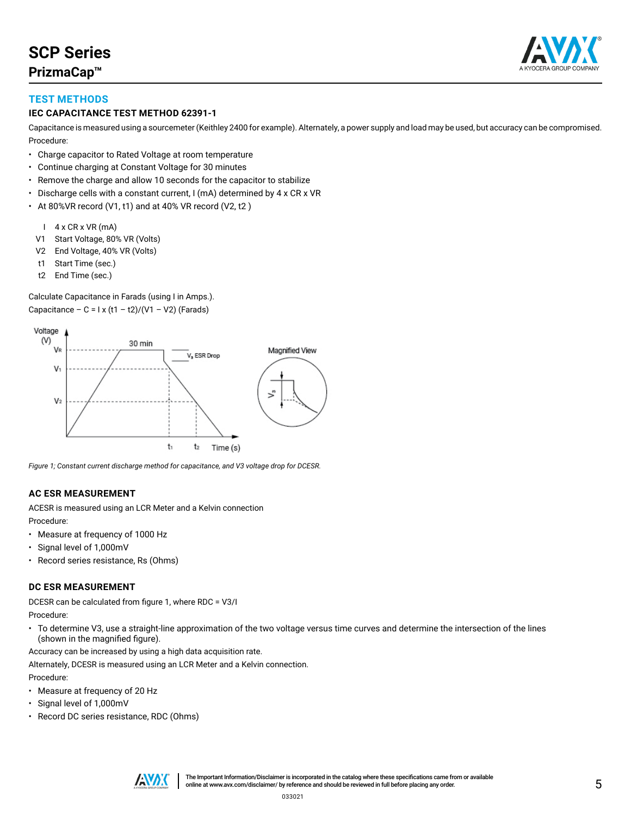

# **TEST METHODS**

## **IEC CAPACITANCE TEST METHOD 62391-1**

Capacitance is measured using a sourcemeter (Keithley 2400 for example). Alternately, a power supply and load may be used, but accuracy can be compromised. Procedure:

- Charge capacitor to Rated Voltage at room temperature
- Continue charging at Constant Voltage for 30 minutes
- Remove the charge and allow 10 seconds for the capacitor to stabilize
- Discharge cells with a constant current, I (mA) determined by 4 x CR x VR
- At 80%VR record (V1, t1) and at 40% VR record (V2, t2 )
	- I 4 x CR x VR (mA)
	- V1 Start Voltage, 80% VR (Volts)
	- V2 End Voltage, 40% VR (Volts)
	- t1 Start Time (sec.)
	- t2 End Time (sec.)

Calculate Capacitance in Farads (using I in Amps.). Capacitance – C =  $1 \times (11 - 12)/(V1 - V2)$  (Farads)



*Figure 1; Constant current discharge method for capacitance, and V3 voltage drop for DCESR.*

### **AC ESR MEASUREMENT**

ACESR is measured using an LCR Meter and a Kelvin connection Procedure:

- Measure at frequency of 1000 Hz
- Signal level of 1,000mV
- Record series resistance, Rs (Ohms)

### **DC ESR MEASUREMENT**

DCESR can be calculated from figure 1, where RDC = V3/I Procedure:

• To determine V3, use a straight-line approximation of the two voltage versus time curves and determine the intersection of the lines (shown in the magnified figure).

Accuracy can be increased by using a high data acquisition rate.

Alternately, DCESR is measured using an LCR Meter and a Kelvin connection. Procedure:

- Measure at frequency of 20 Hz
- Signal level of 1,000mV
- Record DC series resistance, RDC (Ohms)

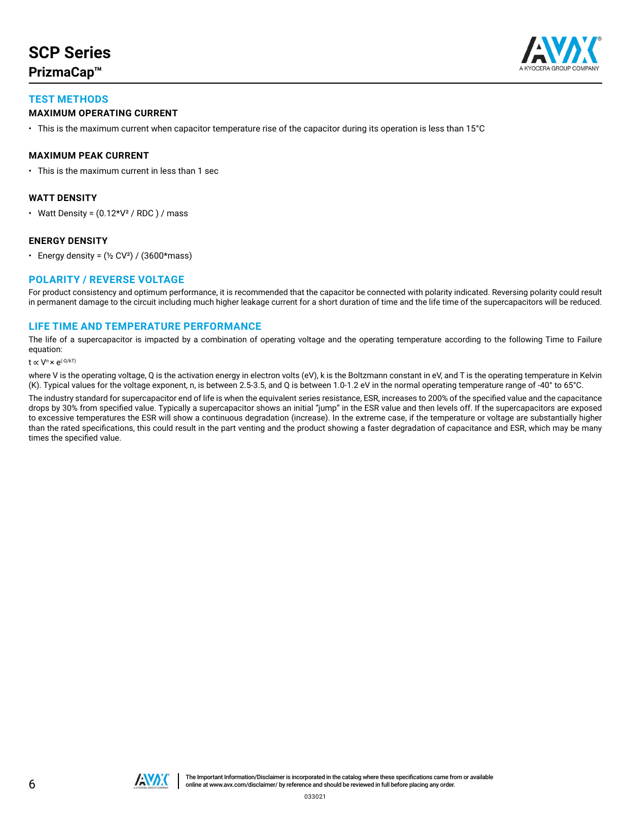# **SCP Series PrizmaCap™**



# **TEST METHODS**

## **MAXIMUM OPERATING CURRENT**

• This is the maximum current when capacitor temperature rise of the capacitor during its operation is less than 15°C

## **MAXIMUM PEAK CURRENT**

• This is the maximum current in less than 1 sec

### **WATT DENSITY**

• Watt Density =  $(0.12*V<sup>2</sup> / RDC) / mass$ 

## **ENERGY DENSITY**

• Energy density =  $(\frac{1}{2}CV^2) / (3600*$ mass)

## **POLARITY / REVERSE VOLTAGE**

For product consistency and optimum performance, it is recommended that the capacitor be connected with polarity indicated. Reversing polarity could result in permanent damage to the circuit including much higher leakage current for a short duration of time and the life time of the supercapacitors will be reduced.

### **LIFE TIME AND TEMPERATURE PERFORMANCE**

The life of a supercapacitor is impacted by a combination of operating voltage and the operating temperature according to the following Time to Failure equation:

t  $\propto V^n \times e^{(-Q/kT)}$ 

where V is the operating voltage, Q is the activation energy in electron volts (eV), k is the Boltzmann constant in eV, and T is the operating temperature in Kelvin (K). Typical values for the voltage exponent, n, is between 2.5-3.5, and Q is between 1.0-1.2 eV in the normal operating temperature range of -40° to 65°C.

The industry standard for supercapacitor end of life is when the equivalent series resistance, ESR, increases to 200% of the specified value and the capacitance drops by 30% from specified value. Typically a supercapacitor shows an initial "jump" in the ESR value and then levels off. If the supercapacitors are exposed to excessive temperatures the ESR will show a continuous degradation (increase). In the extreme case, if the temperature or voltage are substantially higher than the rated specifications, this could result in the part venting and the product showing a faster degradation of capacitance and ESR, which may be many times the specified value.

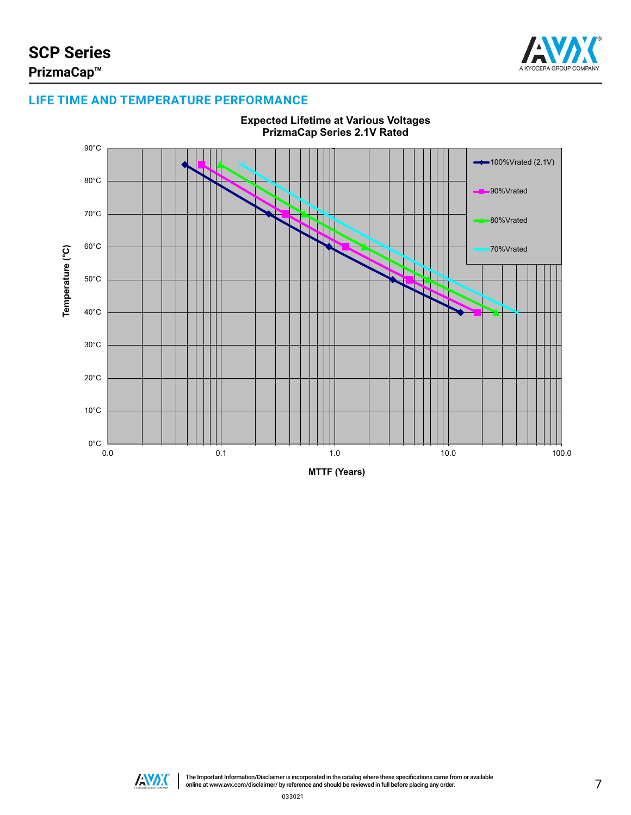

# **LIFE TIME AND TEMPERATURE PERFORMANCE**